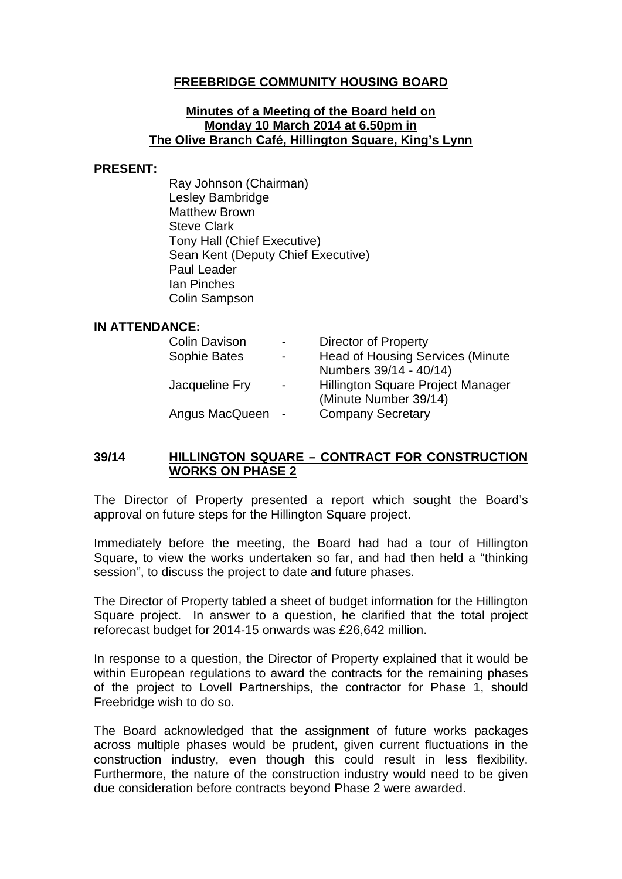# **FREEBRIDGE COMMUNITY HOUSING BOARD**

#### **Minutes of a Meeting of the Board held on Monday 10 March 2014 at 6.50pm in The Olive Branch Café, Hillington Square, King's Lynn**

#### **PRESENT:**

Ray Johnson (Chairman) Lesley Bambridge Matthew Brown Steve Clark Tony Hall (Chief Executive) Sean Kent (Deputy Chief Executive) Paul Leader Ian Pinches Colin Sampson

#### **IN ATTENDANCE:**

| <b>Colin Davison</b> | $\blacksquare$           | Director of Property                    |
|----------------------|--------------------------|-----------------------------------------|
| Sophie Bates         | $\overline{\phantom{0}}$ | <b>Head of Housing Services (Minute</b> |
|                      |                          | Numbers 39/14 - 40/14)                  |
| Jacqueline Fry       | $\blacksquare$           | Hillington Square Project Manager       |
|                      |                          | (Minute Number 39/14)                   |
| Angus MacQueen       | $\sim$ $-$               | <b>Company Secretary</b>                |

### **39/14 HILLINGTON SQUARE – CONTRACT FOR CONSTRUCTION WORKS ON PHASE 2**

The Director of Property presented a report which sought the Board's approval on future steps for the Hillington Square project.

Immediately before the meeting, the Board had had a tour of Hillington Square, to view the works undertaken so far, and had then held a "thinking session", to discuss the project to date and future phases.

The Director of Property tabled a sheet of budget information for the Hillington Square project. In answer to a question, he clarified that the total project reforecast budget for 2014-15 onwards was £26,642 million.

In response to a question, the Director of Property explained that it would be within European regulations to award the contracts for the remaining phases of the project to Lovell Partnerships, the contractor for Phase 1, should Freebridge wish to do so.

The Board acknowledged that the assignment of future works packages across multiple phases would be prudent, given current fluctuations in the construction industry, even though this could result in less flexibility. Furthermore, the nature of the construction industry would need to be given due consideration before contracts beyond Phase 2 were awarded.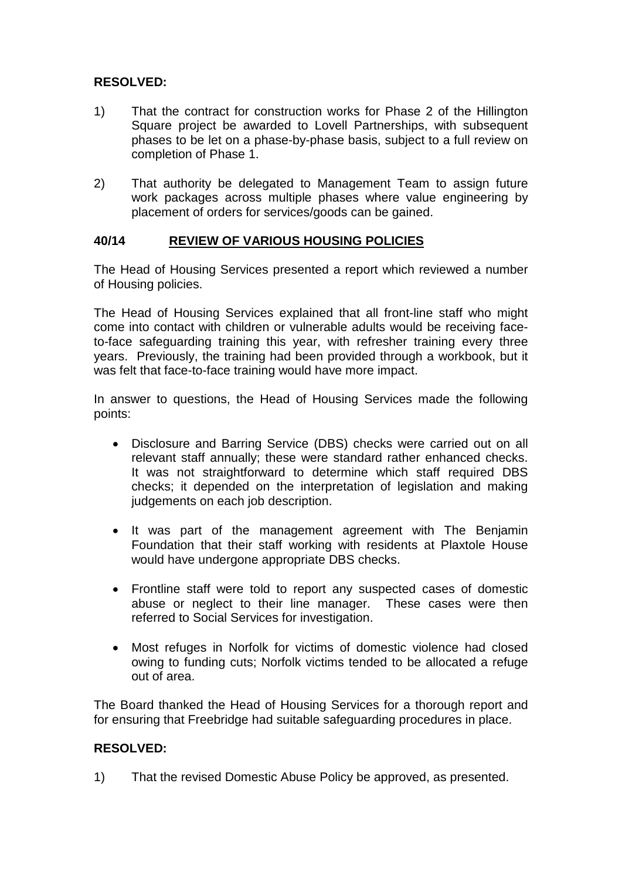# **RESOLVED:**

- 1) That the contract for construction works for Phase 2 of the Hillington Square project be awarded to Lovell Partnerships, with subsequent phases to be let on a phase-by-phase basis, subject to a full review on completion of Phase 1.
- 2) That authority be delegated to Management Team to assign future work packages across multiple phases where value engineering by placement of orders for services/goods can be gained.

### **40/14 REVIEW OF VARIOUS HOUSING POLICIES**

The Head of Housing Services presented a report which reviewed a number of Housing policies.

The Head of Housing Services explained that all front-line staff who might come into contact with children or vulnerable adults would be receiving faceto-face safeguarding training this year, with refresher training every three years. Previously, the training had been provided through a workbook, but it was felt that face-to-face training would have more impact.

In answer to questions, the Head of Housing Services made the following points:

- Disclosure and Barring Service (DBS) checks were carried out on all relevant staff annually; these were standard rather enhanced checks. It was not straightforward to determine which staff required DBS checks; it depended on the interpretation of legislation and making judgements on each job description.
- It was part of the management agreement with The Benjamin Foundation that their staff working with residents at Plaxtole House would have undergone appropriate DBS checks.
- Frontline staff were told to report any suspected cases of domestic abuse or neglect to their line manager. These cases were then referred to Social Services for investigation.
- Most refuges in Norfolk for victims of domestic violence had closed owing to funding cuts; Norfolk victims tended to be allocated a refuge out of area.

The Board thanked the Head of Housing Services for a thorough report and for ensuring that Freebridge had suitable safeguarding procedures in place.

### **RESOLVED:**

1) That the revised Domestic Abuse Policy be approved, as presented.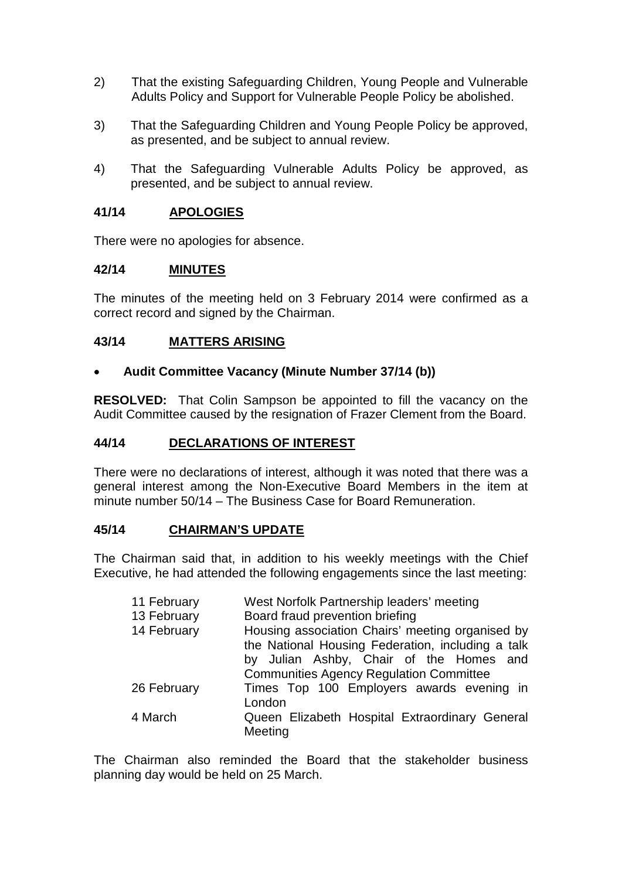- 2) That the existing Safeguarding Children, Young People and Vulnerable Adults Policy and Support for Vulnerable People Policy be abolished.
- 3) That the Safeguarding Children and Young People Policy be approved, as presented, and be subject to annual review.
- 4) That the Safeguarding Vulnerable Adults Policy be approved, as presented, and be subject to annual review.

### **41/14 APOLOGIES**

There were no apologies for absence.

#### **42/14 MINUTES**

The minutes of the meeting held on 3 February 2014 were confirmed as a correct record and signed by the Chairman.

### **43/14 MATTERS ARISING**

#### • **Audit Committee Vacancy (Minute Number 37/14 (b))**

**RESOLVED:** That Colin Sampson be appointed to fill the vacancy on the Audit Committee caused by the resignation of Frazer Clement from the Board.

#### **44/14 DECLARATIONS OF INTEREST**

There were no declarations of interest, although it was noted that there was a general interest among the Non-Executive Board Members in the item at minute number 50/14 – The Business Case for Board Remuneration.

#### **45/14 CHAIRMAN'S UPDATE**

The Chairman said that, in addition to his weekly meetings with the Chief Executive, he had attended the following engagements since the last meeting:

| 11 February | West Norfolk Partnership leaders' meeting                                                                                                        |
|-------------|--------------------------------------------------------------------------------------------------------------------------------------------------|
| 13 February | Board fraud prevention briefing                                                                                                                  |
| 14 February | Housing association Chairs' meeting organised by<br>the National Housing Federation, including a talk<br>by Julian Ashby, Chair of the Homes and |
|             | <b>Communities Agency Regulation Committee</b>                                                                                                   |
| 26 February | Times Top 100 Employers awards evening in<br>London                                                                                              |
| 4 March     | Queen Elizabeth Hospital Extraordinary General<br>Meeting                                                                                        |

The Chairman also reminded the Board that the stakeholder business planning day would be held on 25 March.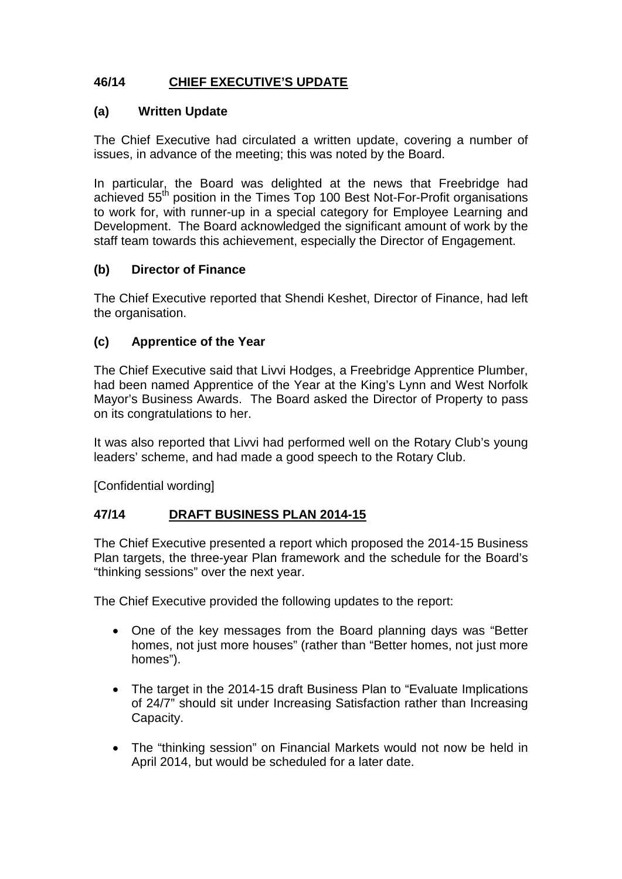# **46/14 CHIEF EXECUTIVE'S UPDATE**

# **(a) Written Update**

The Chief Executive had circulated a written update, covering a number of issues, in advance of the meeting; this was noted by the Board.

In particular, the Board was delighted at the news that Freebridge had achieved 55<sup>th</sup> position in the Times Top 100 Best Not-For-Profit organisations to work for, with runner-up in a special category for Employee Learning and Development. The Board acknowledged the significant amount of work by the staff team towards this achievement, especially the Director of Engagement.

# **(b) Director of Finance**

The Chief Executive reported that Shendi Keshet, Director of Finance, had left the organisation.

# **(c) Apprentice of the Year**

The Chief Executive said that Livvi Hodges, a Freebridge Apprentice Plumber, had been named Apprentice of the Year at the King's Lynn and West Norfolk Mayor's Business Awards. The Board asked the Director of Property to pass on its congratulations to her.

It was also reported that Livvi had performed well on the Rotary Club's young leaders' scheme, and had made a good speech to the Rotary Club.

[Confidential wording]

# **47/14 DRAFT BUSINESS PLAN 2014-15**

The Chief Executive presented a report which proposed the 2014-15 Business Plan targets, the three-year Plan framework and the schedule for the Board's "thinking sessions" over the next year.

The Chief Executive provided the following updates to the report:

- One of the key messages from the Board planning days was "Better homes, not just more houses" (rather than "Better homes, not just more homes").
- The target in the 2014-15 draft Business Plan to "Evaluate Implications" of 24/7" should sit under Increasing Satisfaction rather than Increasing Capacity.
- The "thinking session" on Financial Markets would not now be held in April 2014, but would be scheduled for a later date.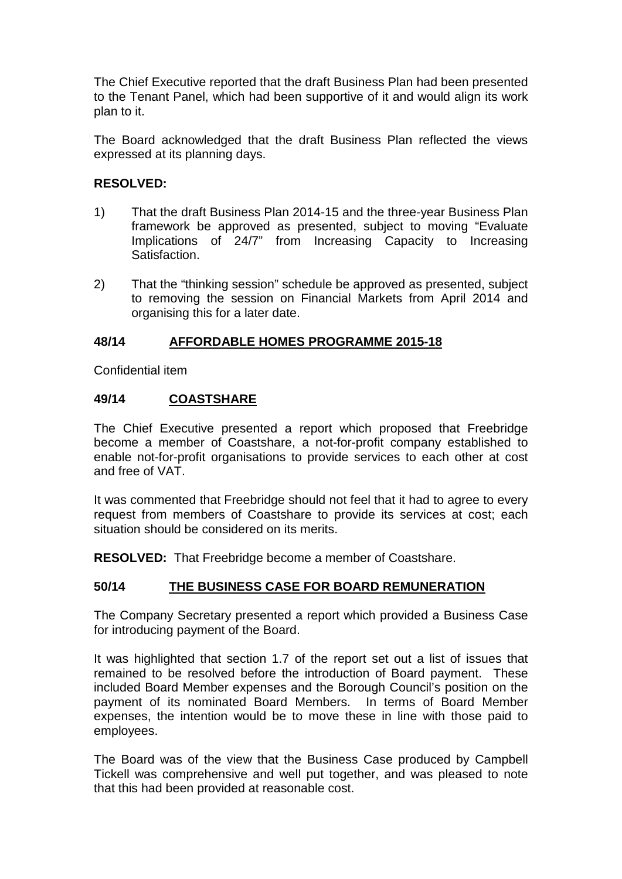The Chief Executive reported that the draft Business Plan had been presented to the Tenant Panel, which had been supportive of it and would align its work plan to it.

The Board acknowledged that the draft Business Plan reflected the views expressed at its planning days.

# **RESOLVED:**

- 1) That the draft Business Plan 2014-15 and the three-year Business Plan framework be approved as presented, subject to moving "Evaluate Implications of 24/7" from Increasing Capacity to Increasing Satisfaction.
- 2) That the "thinking session" schedule be approved as presented, subject to removing the session on Financial Markets from April 2014 and organising this for a later date.

# **48/14 AFFORDABLE HOMES PROGRAMME 2015-18**

Confidential item

# **49/14 COASTSHARE**

The Chief Executive presented a report which proposed that Freebridge become a member of Coastshare, a not-for-profit company established to enable not-for-profit organisations to provide services to each other at cost and free of VAT.

It was commented that Freebridge should not feel that it had to agree to every request from members of Coastshare to provide its services at cost; each situation should be considered on its merits.

**RESOLVED:** That Freebridge become a member of Coastshare.

# **50/14 THE BUSINESS CASE FOR BOARD REMUNERATION**

The Company Secretary presented a report which provided a Business Case for introducing payment of the Board.

It was highlighted that section 1.7 of the report set out a list of issues that remained to be resolved before the introduction of Board payment. These included Board Member expenses and the Borough Council's position on the payment of its nominated Board Members. In terms of Board Member expenses, the intention would be to move these in line with those paid to employees.

The Board was of the view that the Business Case produced by Campbell Tickell was comprehensive and well put together, and was pleased to note that this had been provided at reasonable cost.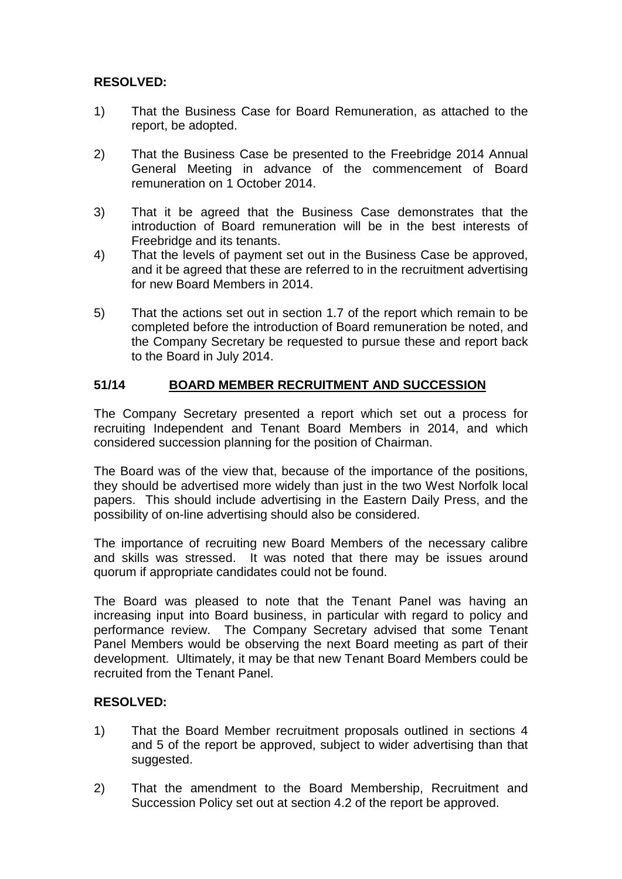# **RESOLVED:**

- 1) That the Business Case for Board Remuneration, as attached to the report, be adopted.
- 2) That the Business Case be presented to the Freebridge 2014 Annual General Meeting in advance of the commencement of Board remuneration on 1 October 2014.
- 3) That it be agreed that the Business Case demonstrates that the introduction of Board remuneration will be in the best interests of Freebridge and its tenants.
- 4) That the levels of payment set out in the Business Case be approved, and it be agreed that these are referred to in the recruitment advertising for new Board Members in 2014.
- 5) That the actions set out in section 1.7 of the report which remain to be completed before the introduction of Board remuneration be noted, and the Company Secretary be requested to pursue these and report back to the Board in July 2014.

# **51/14 BOARD MEMBER RECRUITMENT AND SUCCESSION**

The Company Secretary presented a report which set out a process for recruiting Independent and Tenant Board Members in 2014, and which considered succession planning for the position of Chairman.

The Board was of the view that, because of the importance of the positions, they should be advertised more widely than just in the two West Norfolk local papers. This should include advertising in the Eastern Daily Press, and the possibility of on-line advertising should also be considered.

The importance of recruiting new Board Members of the necessary calibre and skills was stressed. It was noted that there may be issues around quorum if appropriate candidates could not be found.

The Board was pleased to note that the Tenant Panel was having an increasing input into Board business, in particular with regard to policy and performance review. The Company Secretary advised that some Tenant Panel Members would be observing the next Board meeting as part of their development. Ultimately, it may be that new Tenant Board Members could be recruited from the Tenant Panel.

### **RESOLVED:**

- 1) That the Board Member recruitment proposals outlined in sections 4 and 5 of the report be approved, subject to wider advertising than that suggested.
- 2) That the amendment to the Board Membership, Recruitment and Succession Policy set out at section 4.2 of the report be approved.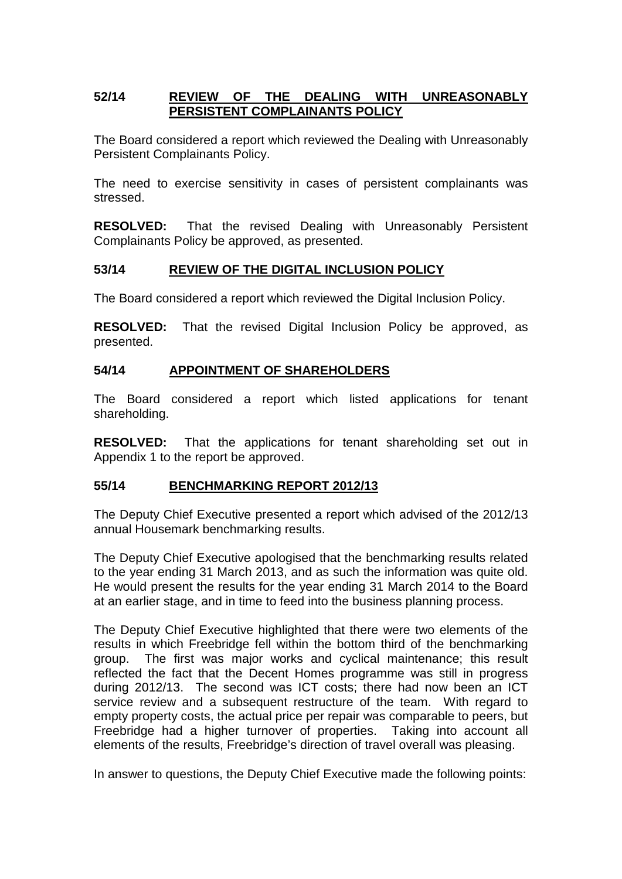# **52/14 REVIEW OF THE DEALING WITH UNREASONABLY PERSISTENT COMPLAINANTS POLICY**

The Board considered a report which reviewed the Dealing with Unreasonably Persistent Complainants Policy.

The need to exercise sensitivity in cases of persistent complainants was stressed.

**RESOLVED:** That the revised Dealing with Unreasonably Persistent Complainants Policy be approved, as presented.

# **53/14 REVIEW OF THE DIGITAL INCLUSION POLICY**

The Board considered a report which reviewed the Digital Inclusion Policy.

**RESOLVED:** That the revised Digital Inclusion Policy be approved, as presented.

### **54/14 APPOINTMENT OF SHAREHOLDERS**

The Board considered a report which listed applications for tenant shareholding.

**RESOLVED:** That the applications for tenant shareholding set out in Appendix 1 to the report be approved.

### **55/14 BENCHMARKING REPORT 2012/13**

The Deputy Chief Executive presented a report which advised of the 2012/13 annual Housemark benchmarking results.

The Deputy Chief Executive apologised that the benchmarking results related to the year ending 31 March 2013, and as such the information was quite old. He would present the results for the year ending 31 March 2014 to the Board at an earlier stage, and in time to feed into the business planning process.

The Deputy Chief Executive highlighted that there were two elements of the results in which Freebridge fell within the bottom third of the benchmarking group. The first was major works and cyclical maintenance; this result reflected the fact that the Decent Homes programme was still in progress during 2012/13. The second was ICT costs; there had now been an ICT service review and a subsequent restructure of the team. With regard to empty property costs, the actual price per repair was comparable to peers, but Freebridge had a higher turnover of properties. Taking into account all elements of the results, Freebridge's direction of travel overall was pleasing.

In answer to questions, the Deputy Chief Executive made the following points: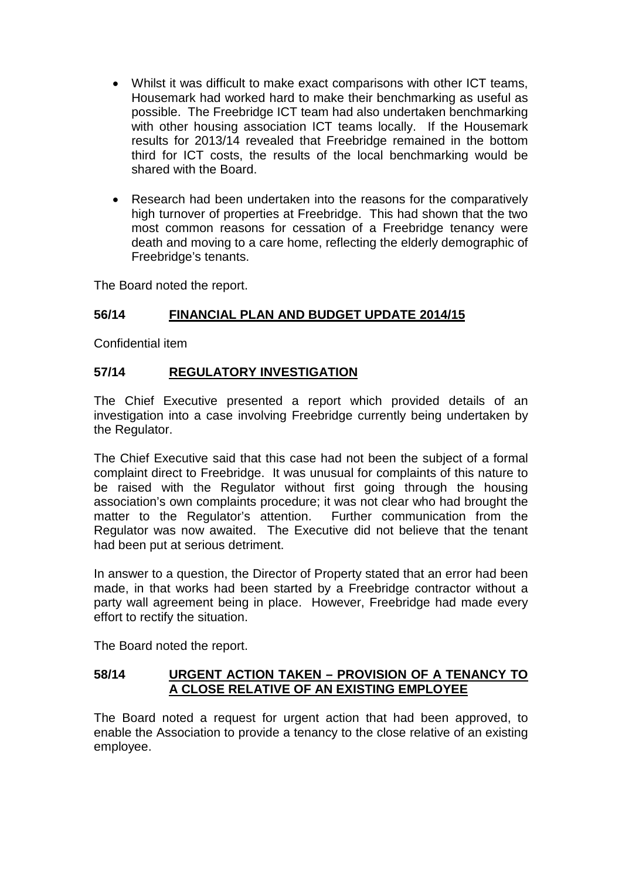- Whilst it was difficult to make exact comparisons with other ICT teams, Housemark had worked hard to make their benchmarking as useful as possible. The Freebridge ICT team had also undertaken benchmarking with other housing association ICT teams locally. If the Housemark results for 2013/14 revealed that Freebridge remained in the bottom third for ICT costs, the results of the local benchmarking would be shared with the Board.
- Research had been undertaken into the reasons for the comparatively high turnover of properties at Freebridge. This had shown that the two most common reasons for cessation of a Freebridge tenancy were death and moving to a care home, reflecting the elderly demographic of Freebridge's tenants.

The Board noted the report.

# **56/14 FINANCIAL PLAN AND BUDGET UPDATE 2014/15**

Confidential item

# **57/14 REGULATORY INVESTIGATION**

The Chief Executive presented a report which provided details of an investigation into a case involving Freebridge currently being undertaken by the Regulator.

The Chief Executive said that this case had not been the subject of a formal complaint direct to Freebridge. It was unusual for complaints of this nature to be raised with the Regulator without first going through the housing association's own complaints procedure; it was not clear who had brought the matter to the Regulator's attention. Further communication from the Regulator was now awaited. The Executive did not believe that the tenant had been put at serious detriment.

In answer to a question, the Director of Property stated that an error had been made, in that works had been started by a Freebridge contractor without a party wall agreement being in place. However, Freebridge had made every effort to rectify the situation.

The Board noted the report.

### **58/14 URGENT ACTION TAKEN – PROVISION OF A TENANCY TO A CLOSE RELATIVE OF AN EXISTING EMPLOYEE**

The Board noted a request for urgent action that had been approved, to enable the Association to provide a tenancy to the close relative of an existing employee.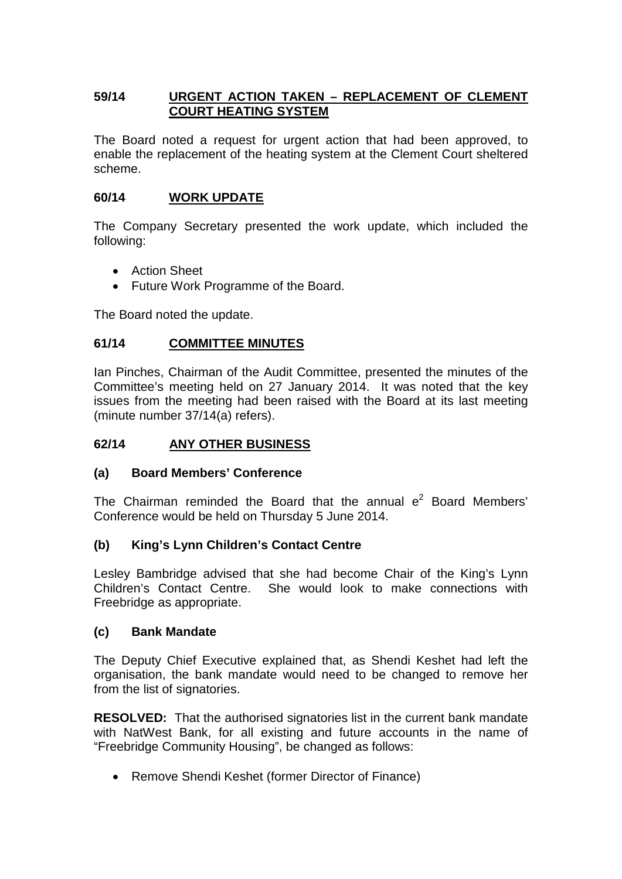# **59/14 URGENT ACTION TAKEN – REPLACEMENT OF CLEMENT COURT HEATING SYSTEM**

The Board noted a request for urgent action that had been approved, to enable the replacement of the heating system at the Clement Court sheltered scheme.

# **60/14 WORK UPDATE**

The Company Secretary presented the work update, which included the following:

- Action Sheet
- Future Work Programme of the Board.

The Board noted the update.

# **61/14 COMMITTEE MINUTES**

Ian Pinches, Chairman of the Audit Committee, presented the minutes of the Committee's meeting held on 27 January 2014. It was noted that the key issues from the meeting had been raised with the Board at its last meeting (minute number 37/14(a) refers).

# **62/14 ANY OTHER BUSINESS**

### **(a) Board Members' Conference**

The Chairman reminded the Board that the annual  $e^2$  Board Members' Conference would be held on Thursday 5 June 2014.

### **(b) King's Lynn Children's Contact Centre**

Lesley Bambridge advised that she had become Chair of the King's Lynn Children's Contact Centre. She would look to make connections with Freebridge as appropriate.

### **(c) Bank Mandate**

The Deputy Chief Executive explained that, as Shendi Keshet had left the organisation, the bank mandate would need to be changed to remove her from the list of signatories.

**RESOLVED:** That the authorised signatories list in the current bank mandate with NatWest Bank, for all existing and future accounts in the name of "Freebridge Community Housing", be changed as follows:

• Remove Shendi Keshet (former Director of Finance)